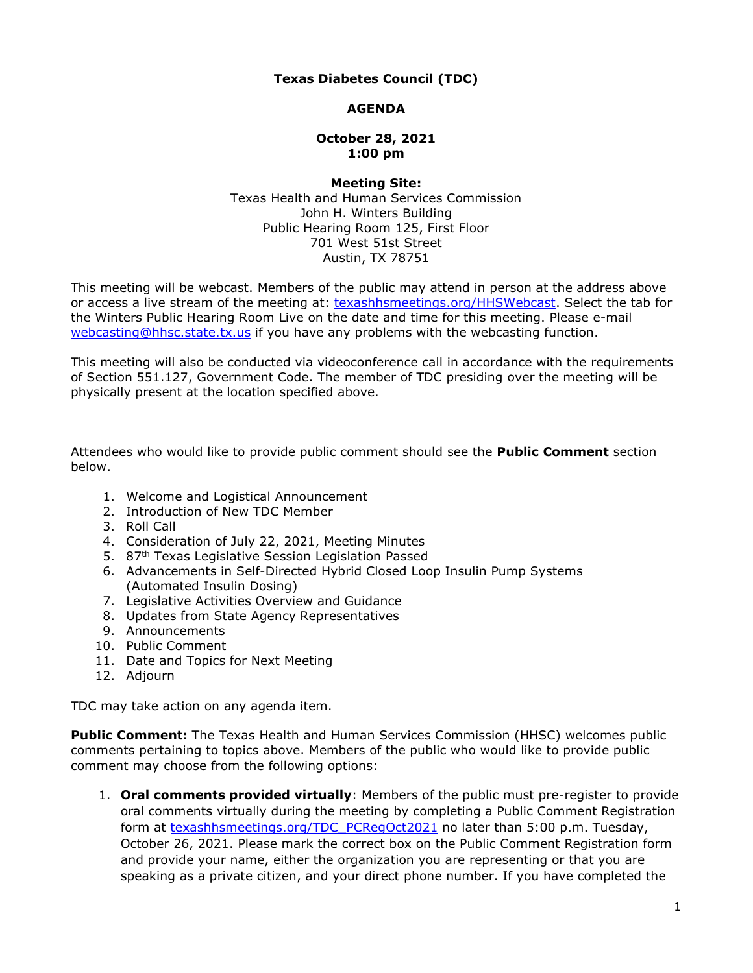# **Texas Diabetes Council (TDC)**

## **AGENDA**

#### **October 28, 2021 1:00 pm**

#### Texas Health and Human Services Commission John H. Winters Building Public Hearing Room 125, First Floor Austin, TX 78751 **Meeting Site:**  701 West 51st Street

 This meeting will be webcast. Members of the public may attend in person at the address above or access a live stream of the meeting at: [texashhsmeetings.org/HHSWebcast.](https://texashhsmeetings.org/HHSWebcast) Select the tab for the Winters Public Hearing Room Live on the date and time for this meeting. Please e-mail webcasting@hhsc.state.tx.us</u> if you have any problems with the webcasting function.

 This meeting will also be conducted via videoconference call in accordance with the requirements of Section 551.127, Government Code. The member of TDC presiding over the meeting will be physically present at the location specified above.

 Attendees who would like to provide public comment should see the **Public Comment** section below.

- 1. Welcome and Logistical Announcement
- 2. Introduction of New TDC Member
- 3. Roll Call
- 4. Consideration of July 22, 2021, Meeting Minutes
- 5. 87<sup>th</sup> Texas Legislative Session Legislation Passed
- 6. Advancements in Self-Directed Hybrid Closed Loop Insulin Pump Systems (Automated Insulin Dosing)
- 7. Legislative Activities Overview and Guidance
- 8. Updates from State Agency Representatives
- 9. Announcements
- 10. Public Comment
- 11. Date and Topics for Next Meeting
- 12. Adjourn

TDC may take action on any agenda item.

 **Public Comment:** The Texas Health and Human Services Commission (HHSC) welcomes public comments pertaining to topics above. Members of the public who would like to provide public comment may choose from the following options:

 1. **Oral comments provided virtually**: Members of the public must pre-register to provide oral comments virtually during the meeting by completing a Public Comment Registration form at <u>texashhsmeetings.org/TDC\_PCRegOct2021</u> no later than 5:00 p.m. Tuesday, October 26, 2021. Please mark the correct box on the Public Comment Registration form and provide your name, either the organization you are representing or that you are speaking as a private citizen, and your direct phone number. If you have completed the